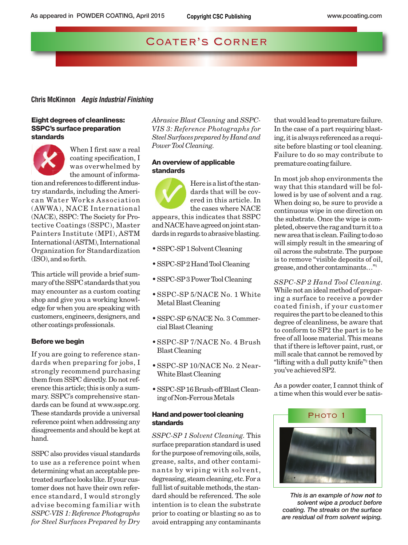# COATER'S CORNER

# **Chris McKinnon** *Aegis Industrial Finishing*

## **Eight degrees of cleanliness: SSPC's surface preparation standards**

.



When I first saw a real coating specification, I was overwhelmed by the amount of informa-

tion and references to different industry standards, including the American Water Works Association (AWWA), NACE International (NACE), SSPC: The Society for Protective Coatings (SSPC), Master Painters Institute (MPI), ASTM International (ASTM), International Organization for Standardization (ISO), and so forth.

This article will provide a brief summary of the SSPC standards that you may encounter as a custom coating shop and give you a working knowledge for when you are speaking with customers, engineers, designers, and other coatings professionals.

## **Before we begin**

If you are going to reference standards when preparing for jobs, I strongly recommend purchasing them from SSPC directly. Do not reference this article; this is only a summary. SSPC's comprehensive standards can be found at www.sspc.org. These standards provide a universal reference point when addressing any disagreements and should be kept at hand.

SSPC also provides visual standards to use as a reference point when determining what an acceptable pretreated surface looks like. If your customer does not have their own reference standard, I would strongly advise becoming familiar with *SSPC-VIS 1: Reference Photographs for Steel Surfaces Prepared by Dry* *Abrasive Blast Cleaning* and *SSPC-VIS 3: Reference Photographs for Steel Surfaces prepared by Hand and Power Tool Cleaning.*

# **An overview of applicable standards**

Here is a list of the standards that will be covered in this article. In the cases where NACE appears, this indicates that SSPC and NACE have agreed on joint standards in regards to abrasive blasting.

- SSPC-SP 1 Solvent Cleaning
- SSPC-SP 2 Hand Tool Cleaning
- SSPC-SP 3 Power Tool Cleaning
- SSPC-SP 5/NACE No. 1 White Metal Blast Cleaning
- SSPC-SP 6/NACE No. 3 Commercial Blast Cleaning
- SSPC-SP 7/NACE No. 4 Brush Blast Cleaning
- SSPC-SP 10/NACE No. 2 Near-White Blast Cleaning
- SSPC-SP 16 Brush-off Blast Cleaning of Non-Ferrous Metals

## **Hand and power tool cleaning standards**

*SSPC-SP 1 Solvent Cleaning.* This surface preparation standard is used for the purpose of removing oils, soils, grease, salts, and other contaminants by wiping with solvent, degreasing, steam cleaning, etc. For a full list of suitable methods, the standard should be referenced. The sole intention is to clean the substrate prior to coating or blasting so as to avoid entrapping any contaminants

that would lead to premature failure. In the case of a part requiring blasting, it is always referenced as a requisite before blasting or tool cleaning. Failure to do so may contribute to premature coating failure.

In most job shop environments the way that this standard will be followed is by use of solvent and a rag. When doing so, be sure to provide a continuous wipe in one direction on the substrate. Once the wipe is completed, observe the rag and turn it to a new area that is clean. Failing to do so will simply result in the smearing of oil across the substrate. The purpose is to remove "visible deposits of oil, grease, and other contaminants…"1

*SSPC-SP 2 Hand Tool Cleaning.* While not an ideal method of preparing a surface to receive a powder coated finish, if your customer requires the part to be cleaned to this degree of cleanliness, be aware that to conform to SP2 the part is to be free of all loose material. This means that if there is leftover paint, rust, or mill scale that cannot be removed by "lifting with a dull putty knife"2 then you've achieved SP2.

As a powder coater, I cannot think of a time when this would ever be satis-



*This is an example of how not to solvent wipe a product before coating. The streaks on the surface are residual oil from solvent wiping.*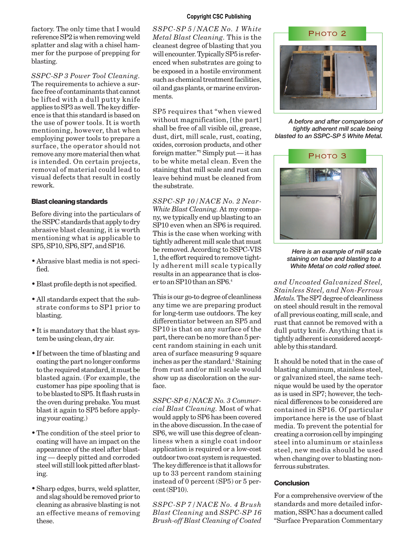factory. The only time that I would reference SP2 is when removing weld splatter and slag with a chisel hammer for the purpose of prepping for blasting.

*SSPC-SP 3 Power Tool Cleaning.* The requirements to achieve a surface free of contaminants that cannot be lifted with a dull putty knife applies to SP3 as well. The key difference is that this standard is based on the use of power tools. It is worth mentioning, however, that when employing power tools to prepare a surface, the operator should not remove any more material then what is intended. On certain projects, removal of material could lead to visual defects that result in costly rework.

# **Blast cleaning standards**

Before diving into the particulars of the SSPC standards that apply to dry abrasive blast cleaning, it is worth mentioning what is applicable to SP5, SP10, SP6, SP7, and SP16.

- Abrasive blast media is not specified.
- Blast profile depth is not specified.
- All standards expect that the substrate conforms to SP1 prior to blasting.
- It is mandatory that the blast system be using clean, dry air.
- If between the time of blasting and coating the part no longer conforms to the required standard, it must be blasted again. (For example, the customer has pipe spooling that is to be blasted to SP5. It flash rusts in the oven during prebake. You must blast it again to SP5 before applying your coating.)
- The condition of the steel prior to coating will have an impact on the appearance of the steel after blasting — deeply pitted and corroded steel will still look pitted after blasting.
- Sharp edges, burrs, weld splatter, and slag should be removed prior to cleaning as abrasive blasting is not an effective means of removing these.

# **Copyright CSC Publishing**

*SSPC-SP 5/NACE No. 1 White Metal Blast Cleaning.* This is the cleanest degree of blasting that you will encounter. Typically SP5 is referenced when substrates are going to be exposed in a hostile environment such as chemical treatment facilities, oil and gas plants, or marine environments.

SP5 requires that "when viewed without magnification, [the part] shall be free of all visible oil, grease, dust, dirt, mill scale, rust, coating, oxides, corrosion products, and other foreign matter."3 Simply put — it has to be white metal clean. Even the staining that mill scale and rust can leave behind must be cleaned from the substrate.

*SSPC-SP 10/NACE No. 2 Near-White Blast Cleaning.*At my company, we typically end up blasting to an SP10 even when an SP6 is required. This is the case when working with tightly adherent mill scale that must be removed. According to SSPC-VIS 1, the effort required to remove tightly adherent mill scale typically results in an appearance that is closer to an SP10 than an SP6.4

This is our go-to degree of cleanliness any time we are preparing product for long-term use outdoors. The key differentiator between an SP5 and SP10 is that on any surface of the part, there can be no more than 5 percent random staining in each unit area of surface measuring 9 square inches as per the standard.<sup>5</sup> Staining from rust and/or mill scale would show up as discoloration on the surface.

*SSPC-SP 6/NACE No. 3 Commercial Blast Cleaning.* Most of what would apply to SP6 has been covered in the above discussion. In the case of SP6, we will use this degree of cleanliness when a single coat indoor application is required or a low-cost outdoor two coat system is requested. The key difference is that it allows for up to 33 percent random staining instead of 0 percent (SP5) or 5 percent (SP10).

*SSPC-SP 7/NACE No. 4 Brush Blast Cleaning* and *SSPC-SP 16 Brush-off Blast Cleaning of Coated*



*A before and after comparison of tightly adherent mill scale being blasted to an SSPC-SP 5 White Metal.*



*Here is an example of mill scale staining on tube and blasting to a White Metal on cold rolled steel.*

*and Uncoated Galvanized Steel, Stainless Steel, and Non-Ferrous Metals.*The SP7 degree of cleanliness on steel should result in the removal of all previous coating, mill scale, and rust that cannot be removed with a dull putty knife. Anything that is tightly adherent is considered acceptable by this standard.

It should be noted that in the case of blasting aluminum, stainless steel, or galvanized steel, the same technique would be used by the operator as is used in SP7; however, the technical differences to be considered are contained in SP16. Of particular importance here is the use of blast media. To prevent the potential for creating a corrosion cell by impinging steel into aluminum or stainless steel, new media should be used when changing over to blasting nonferrous substrates.

# **Conclusion**

For a comprehensive overview of the standards and more detailed information, SSPC has a document called "Surface Preparation Commentary